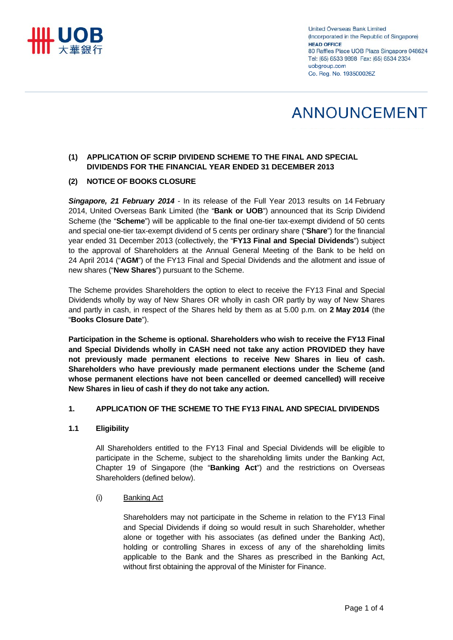

**United Overseas Bank Limited** (Incorporated in the Republic of Singapore) **HEAD OFFICE** 80 Raffles Place UOB Plaza Singapore 048624 Tel: (65) 6533 9898 Fax: (65) 6534 2334 uobgroup.com Co. Reg. No. 193500026Z

# ANNOUNCEMENT

# **(1) APPLICATION OF SCRIP DIVIDEND SCHEME TO THE FINAL AND SPECIAL DIVIDENDS FOR THE FINANCIAL YEAR ENDED 31 DECEMBER 2013**

## **(2) NOTICE OF BOOKS CLOSURE**

**Singapore, 21 February 2014** - In its release of the Full Year 2013 results on 14 February 2014, United Overseas Bank Limited (the "**Bank or UOB**") announced that its Scrip Dividend Scheme (the "**Scheme**") will be applicable to the final one-tier tax-exempt dividend of 50 cents and special one-tier tax-exempt dividend of 5 cents per ordinary share ("**Share**") for the financial year ended 31 December 2013 (collectively, the "**FY13 Final and Special Dividends**") subject to the approval of Shareholders at the Annual General Meeting of the Bank to be held on 24 April 2014 ("**AGM**") of the FY13 Final and Special Dividends and the allotment and issue of new shares ("**New Shares**") pursuant to the Scheme.

The Scheme provides Shareholders the option to elect to receive the FY13 Final and Special Dividends wholly by way of New Shares OR wholly in cash OR partly by way of New Shares and partly in cash, in respect of the Shares held by them as at 5.00 p.m. on **2 May 2014** (the "**Books Closure Date**").

**Participation in the Scheme is optional. Shareholders who wish to receive the FY13 Final and Special Dividends wholly in CASH need not take any action PROVIDED they have not previously made permanent elections to receive New Shares in lieu of cash. Shareholders who have previously made permanent elections under the Scheme (and whose permanent elections have not been cancelled or deemed cancelled) will receive New Shares in lieu of cash if they do not take any action.** 

### **1. APPLICATION OF THE SCHEME TO THE FY13 FINAL AND SPECIAL DIVIDENDS**

### **1.1 Eligibility**

All Shareholders entitled to the FY13 Final and Special Dividends will be eligible to participate in the Scheme, subject to the shareholding limits under the Banking Act, Chapter 19 of Singapore (the "**Banking Act**") and the restrictions on Overseas Shareholders (defined below).

### (i) Banking Act

Shareholders may not participate in the Scheme in relation to the FY13 Final and Special Dividends if doing so would result in such Shareholder, whether alone or together with his associates (as defined under the Banking Act), holding or controlling Shares in excess of any of the shareholding limits applicable to the Bank and the Shares as prescribed in the Banking Act, without first obtaining the approval of the Minister for Finance.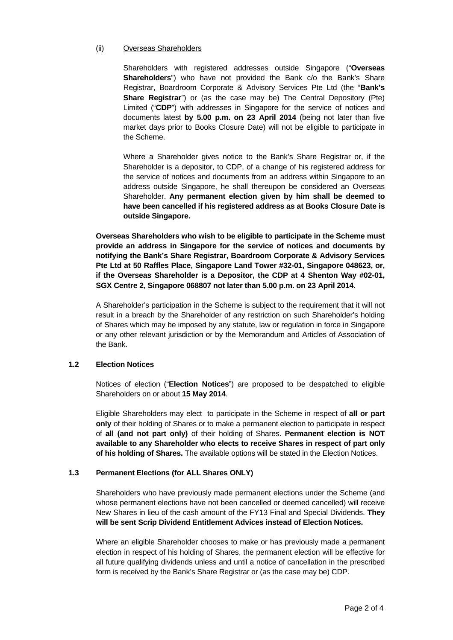#### (ii) Overseas Shareholders

Shareholders with registered addresses outside Singapore ("**Overseas Shareholders**") who have not provided the Bank c/o the Bank's Share Registrar, Boardroom Corporate & Advisory Services Pte Ltd (the "**Bank's Share Registrar**") or (as the case may be) The Central Depository (Pte) Limited ("**CDP**") with addresses in Singapore for the service of notices and documents latest **by 5.00 p.m. on 23 April 2014** (being not later than five market days prior to Books Closure Date) will not be eligible to participate in the Scheme.

Where a Shareholder gives notice to the Bank's Share Registrar or, if the Shareholder is a depositor, to CDP, of a change of his registered address for the service of notices and documents from an address within Singapore to an address outside Singapore, he shall thereupon be considered an Overseas Shareholder. **Any permanent election given by him shall be deemed to have been cancelled if his registered address as at Books Closure Date is outside Singapore.** 

**Overseas Shareholders who wish to be eligible to participate in the Scheme must provide an address in Singapore for the service of notices and documents by notifying the Bank's Share Registrar, Boardroom Corporate & Advisory Services Pte Ltd at 50 Raffles Place, Singapore Land Tower #32-01, Singapore 048623, or, if the Overseas Shareholder is a Depositor, the CDP at 4 Shenton Way #02-01, SGX Centre 2, Singapore 068807 not later than 5.00 p.m. on 23 April 2014.** 

A Shareholder's participation in the Scheme is subject to the requirement that it will not result in a breach by the Shareholder of any restriction on such Shareholder's holding of Shares which may be imposed by any statute, law or regulation in force in Singapore or any other relevant jurisdiction or by the Memorandum and Articles of Association of the Bank.

### **1.2 Election Notices**

Notices of election ("**Election Notices**") are proposed to be despatched to eligible Shareholders on or about **15 May 2014**.

Eligible Shareholders may elect to participate in the Scheme in respect of **all or part only** of their holding of Shares or to make a permanent election to participate in respect of **all (and not part only)** of their holding of Shares. **Permanent election is NOT available to any Shareholder who elects to receive Shares in respect of part only of his holding of Shares.** The available options will be stated in the Election Notices.

### **1.3 Permanent Elections (for ALL Shares ONLY)**

Shareholders who have previously made permanent elections under the Scheme (and whose permanent elections have not been cancelled or deemed cancelled) will receive New Shares in lieu of the cash amount of the FY13 Final and Special Dividends. **They will be sent Scrip Dividend Entitlement Advices instead of Election Notices.** 

Where an eligible Shareholder chooses to make or has previously made a permanent election in respect of his holding of Shares, the permanent election will be effective for all future qualifying dividends unless and until a notice of cancellation in the prescribed form is received by the Bank's Share Registrar or (as the case may be) CDP.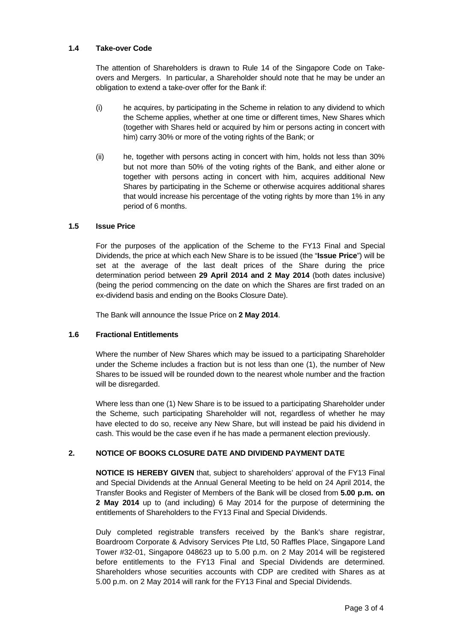### **1.4 Take-over Code**

The attention of Shareholders is drawn to Rule 14 of the Singapore Code on Takeovers and Mergers. In particular, a Shareholder should note that he may be under an obligation to extend a take-over offer for the Bank if:

- (i) he acquires, by participating in the Scheme in relation to any dividend to which the Scheme applies, whether at one time or different times, New Shares which (together with Shares held or acquired by him or persons acting in concert with him) carry 30% or more of the voting rights of the Bank; or
- (ii) he, together with persons acting in concert with him, holds not less than 30% but not more than 50% of the voting rights of the Bank, and either alone or together with persons acting in concert with him, acquires additional New Shares by participating in the Scheme or otherwise acquires additional shares that would increase his percentage of the voting rights by more than 1% in any period of 6 months.

### **1.5 Issue Price**

For the purposes of the application of the Scheme to the FY13 Final and Special Dividends, the price at which each New Share is to be issued (the "**Issue Price**") will be set at the average of the last dealt prices of the Share during the price determination period between **29 April 2014 and 2 May 2014** (both dates inclusive) (being the period commencing on the date on which the Shares are first traded on an ex-dividend basis and ending on the Books Closure Date).

The Bank will announce the Issue Price on **2 May 2014**.

#### **1.6 Fractional Entitlements**

Where the number of New Shares which may be issued to a participating Shareholder under the Scheme includes a fraction but is not less than one (1), the number of New Shares to be issued will be rounded down to the nearest whole number and the fraction will be disregarded.

Where less than one (1) New Share is to be issued to a participating Shareholder under the Scheme, such participating Shareholder will not, regardless of whether he may have elected to do so, receive any New Share, but will instead be paid his dividend in cash. This would be the case even if he has made a permanent election previously.

### **2. NOTICE OF BOOKS CLOSURE DATE AND DIVIDEND PAYMENT DATE**

**NOTICE IS HEREBY GIVEN** that, subject to shareholders' approval of the FY13 Final and Special Dividends at the Annual General Meeting to be held on 24 April 2014, the Transfer Books and Register of Members of the Bank will be closed from **5.00 p.m. on 2 May 2014** up to (and including) 6 May 2014 for the purpose of determining the entitlements of Shareholders to the FY13 Final and Special Dividends.

Duly completed registrable transfers received by the Bank's share registrar, Boardroom Corporate & Advisory Services Pte Ltd, 50 Raffles Place, Singapore Land Tower #32-01, Singapore 048623 up to 5.00 p.m. on 2 May 2014 will be registered before entitlements to the FY13 Final and Special Dividends are determined. Shareholders whose securities accounts with CDP are credited with Shares as at 5.00 p.m. on 2 May 2014 will rank for the FY13 Final and Special Dividends.